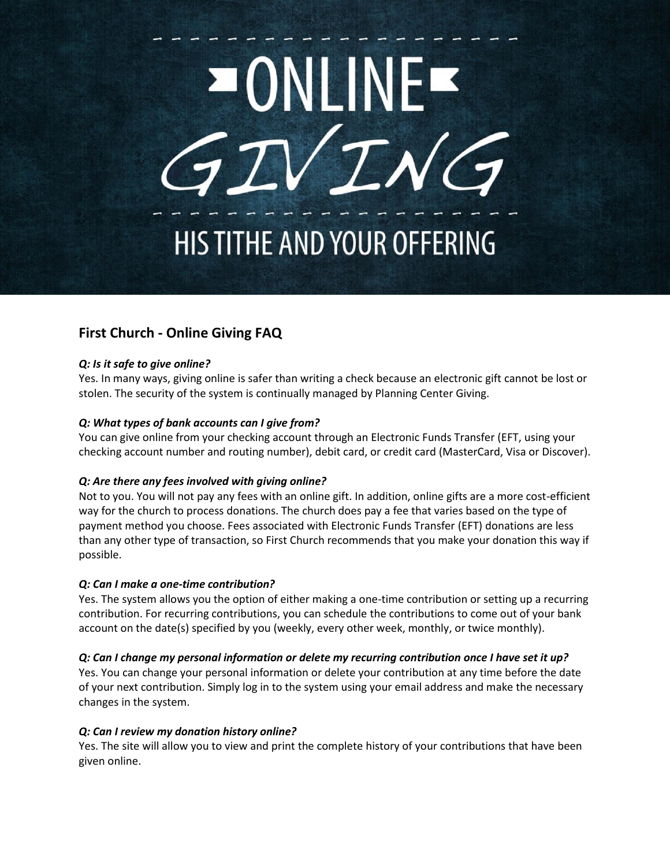

# **First Church - Online Giving FAQ**

## *Q: Is it safe to give online?*

Yes. In many ways, giving online is safer than writing a check because an electronic gift cannot be lost or stolen. The security of the system is continually managed by Planning Center Giving.

## *Q: What types of bank accounts can I give from?*

You can give online from your checking account through an Electronic Funds Transfer (EFT, using your checking account number and routing number), debit card, or credit card (MasterCard, Visa or Discover).

# *Q: Are there any fees involved with giving online?*

Not to you. You will not pay any fees with an online gift. In addition, online gifts are a more cost-efficient way for the church to process donations. The church does pay a fee that varies based on the type of payment method you choose. Fees associated with Electronic Funds Transfer (EFT) donations are less than any other type of transaction, so First Church recommends that you make your donation this way if possible.

# *Q: Can I make a one-time contribution?*

Yes. The system allows you the option of either making a one-time contribution or setting up a recurring contribution. For recurring contributions, you can schedule the contributions to come out of your bank account on the date(s) specified by you (weekly, every other week, monthly, or twice monthly).

# *Q: Can I change my personal information or delete my recurring contribution once I have set it up?*

Yes. You can change your personal information or delete your contribution at any time before the date of your next contribution. Simply log in to the system using your email address and make the necessary changes in the system.

#### *Q: Can I review my donation history online?*

Yes. The site will allow you to view and print the complete history of your contributions that have been given online.